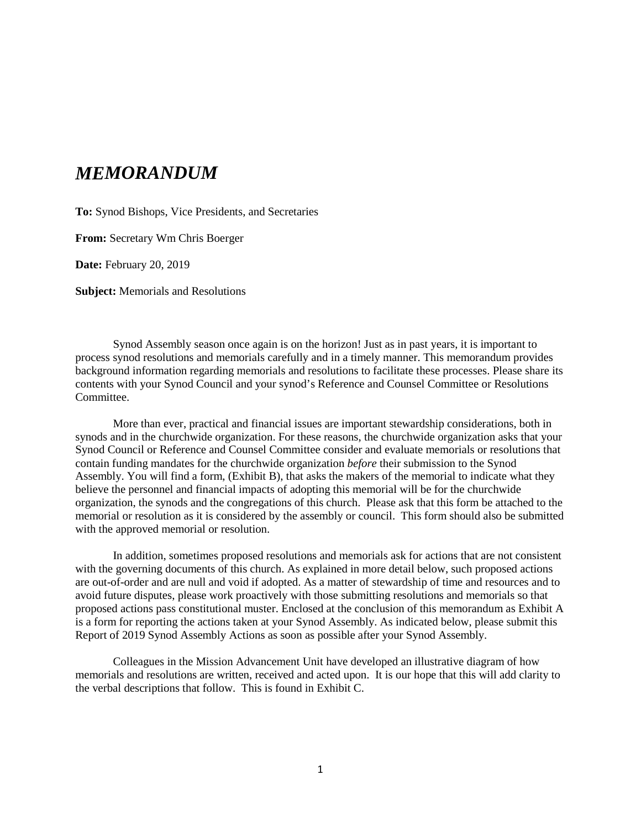## *MEMORANDUM*

**To:** Synod Bishops, Vice Presidents, and Secretaries

**From:** Secretary Wm Chris Boerger

**Date:** February 20, 2019

**Subject:** Memorials and Resolutions

Synod Assembly season once again is on the horizon! Just as in past years, it is important to process synod resolutions and memorials carefully and in a timely manner. This memorandum provides background information regarding memorials and resolutions to facilitate these processes. Please share its contents with your Synod Council and your synod's Reference and Counsel Committee or Resolutions Committee.

More than ever, practical and financial issues are important stewardship considerations, both in synods and in the churchwide organization. For these reasons, the churchwide organization asks that your Synod Council or Reference and Counsel Committee consider and evaluate memorials or resolutions that contain funding mandates for the churchwide organization *before* their submission to the Synod Assembly. You will find a form, (Exhibit B), that asks the makers of the memorial to indicate what they believe the personnel and financial impacts of adopting this memorial will be for the churchwide organization, the synods and the congregations of this church. Please ask that this form be attached to the memorial or resolution as it is considered by the assembly or council. This form should also be submitted with the approved memorial or resolution.

In addition, sometimes proposed resolutions and memorials ask for actions that are not consistent with the governing documents of this church. As explained in more detail below, such proposed actions are out-of-order and are null and void if adopted. As a matter of stewardship of time and resources and to avoid future disputes, please work proactively with those submitting resolutions and memorials so that proposed actions pass constitutional muster. Enclosed at the conclusion of this memorandum as Exhibit A is a form for reporting the actions taken at your Synod Assembly. As indicated below, please submit this Report of 2019 Synod Assembly Actions as soon as possible after your Synod Assembly.

Colleagues in the Mission Advancement Unit have developed an illustrative diagram of how memorials and resolutions are written, received and acted upon. It is our hope that this will add clarity to the verbal descriptions that follow. This is found in Exhibit C.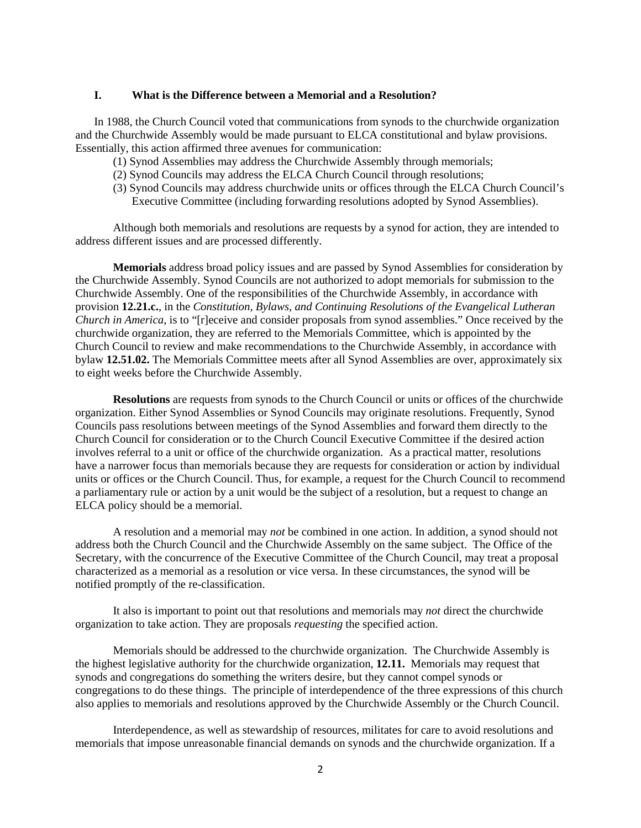#### **I. What is the Difference between a Memorial and a Resolution?**

In 1988, the Church Council voted that communications from synods to the churchwide organization and the Churchwide Assembly would be made pursuant to ELCA constitutional and bylaw provisions. Essentially, this action affirmed three avenues for communication:

- (1) Synod Assemblies may address the Churchwide Assembly through memorials;
- (2) Synod Councils may address the ELCA Church Council through resolutions;
- (3) Synod Councils may address churchwide units or offices through the ELCA Church Council's Executive Committee (including forwarding resolutions adopted by Synod Assemblies).

Although both memorials and resolutions are requests by a synod for action, they are intended to address different issues and are processed differently.

**Memorials** address broad policy issues and are passed by Synod Assemblies for consideration by the Churchwide Assembly. Synod Councils are not authorized to adopt memorials for submission to the Churchwide Assembly. One of the responsibilities of the Churchwide Assembly, in accordance with provision **12.21.c.**, in the *Constitution, Bylaws, and Continuing Resolutions of the Evangelical Lutheran Church in America*, is to "[r]eceive and consider proposals from synod assemblies." Once received by the churchwide organization, they are referred to the Memorials Committee, which is appointed by the Church Council to review and make recommendations to the Churchwide Assembly, in accordance with bylaw **12.51.02.** The Memorials Committee meets after all Synod Assemblies are over, approximately six to eight weeks before the Churchwide Assembly.

**Resolutions** are requests from synods to the Church Council or units or offices of the churchwide organization. Either Synod Assemblies or Synod Councils may originate resolutions. Frequently, Synod Councils pass resolutions between meetings of the Synod Assemblies and forward them directly to the Church Council for consideration or to the Church Council Executive Committee if the desired action involves referral to a unit or office of the churchwide organization. As a practical matter, resolutions have a narrower focus than memorials because they are requests for consideration or action by individual units or offices or the Church Council. Thus, for example, a request for the Church Council to recommend a parliamentary rule or action by a unit would be the subject of a resolution, but a request to change an ELCA policy should be a memorial.

A resolution and a memorial may *not* be combined in one action. In addition, a synod should not address both the Church Council and the Churchwide Assembly on the same subject. The Office of the Secretary, with the concurrence of the Executive Committee of the Church Council, may treat a proposal characterized as a memorial as a resolution or vice versa. In these circumstances, the synod will be notified promptly of the re-classification.

It also is important to point out that resolutions and memorials may *not* direct the churchwide organization to take action. They are proposals *requesting* the specified action.

Memorials should be addressed to the churchwide organization. The Churchwide Assembly is the highest legislative authority for the churchwide organization, **12.11.** Memorials may request that synods and congregations do something the writers desire, but they cannot compel synods or congregations to do these things. The principle of interdependence of the three expressions of this church also applies to memorials and resolutions approved by the Churchwide Assembly or the Church Council.

Interdependence, as well as stewardship of resources, militates for care to avoid resolutions and memorials that impose unreasonable financial demands on synods and the churchwide organization. If a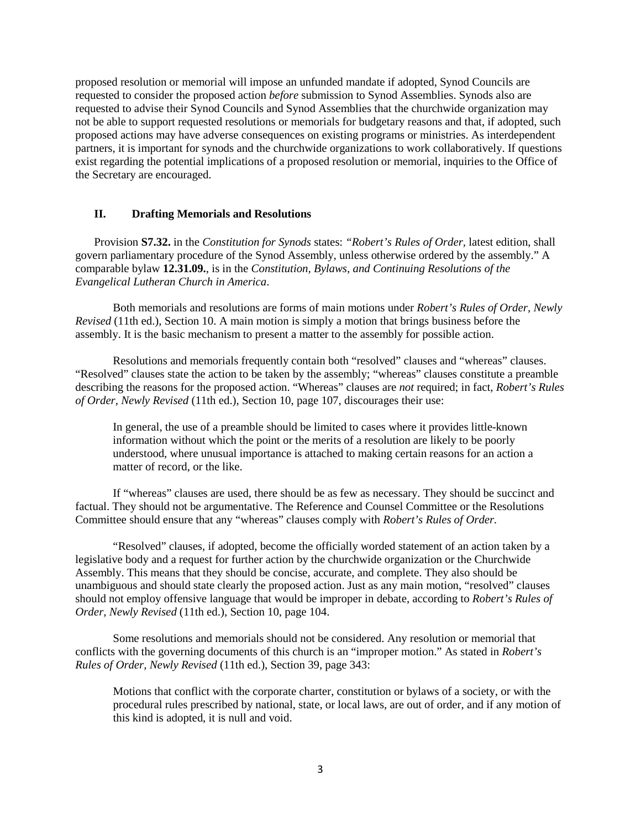proposed resolution or memorial will impose an unfunded mandate if adopted, Synod Councils are requested to consider the proposed action *before* submission to Synod Assemblies. Synods also are requested to advise their Synod Councils and Synod Assemblies that the churchwide organization may not be able to support requested resolutions or memorials for budgetary reasons and that, if adopted, such proposed actions may have adverse consequences on existing programs or ministries. As interdependent partners, it is important for synods and the churchwide organizations to work collaboratively. If questions exist regarding the potential implications of a proposed resolution or memorial, inquiries to the Office of the Secretary are encouraged.

#### **II. Drafting Memorials and Resolutions**

Provision **S7.32.** in the *Constitution for Synods* states: *"Robert's Rules of Order,* latest edition, shall govern parliamentary procedure of the Synod Assembly, unless otherwise ordered by the assembly." A comparable bylaw **12.31.09.**, is in the *Constitution, Bylaws, and Continuing Resolutions of the Evangelical Lutheran Church in America*.

Both memorials and resolutions are forms of main motions under *Robert's Rules of Order, Newly Revised* (11th ed.), Section 10. A main motion is simply a motion that brings business before the assembly. It is the basic mechanism to present a matter to the assembly for possible action.

Resolutions and memorials frequently contain both "resolved" clauses and "whereas" clauses. "Resolved" clauses state the action to be taken by the assembly; "whereas" clauses constitute a preamble describing the reasons for the proposed action. "Whereas" clauses are *not* required; in fact, *Robert's Rules of Order*, *Newly Revised* (11th ed.), Section 10, page 107, discourages their use:

In general, the use of a preamble should be limited to cases where it provides little-known information without which the point or the merits of a resolution are likely to be poorly understood, where unusual importance is attached to making certain reasons for an action a matter of record, or the like.

If "whereas" clauses are used, there should be as few as necessary. They should be succinct and factual. They should not be argumentative. The Reference and Counsel Committee or the Resolutions Committee should ensure that any "whereas" clauses comply with *Robert's Rules of Order.*

"Resolved" clauses, if adopted, become the officially worded statement of an action taken by a legislative body and a request for further action by the churchwide organization or the Churchwide Assembly. This means that they should be concise, accurate, and complete. They also should be unambiguous and should state clearly the proposed action. Just as any main motion, "resolved" clauses should not employ offensive language that would be improper in debate, according to *Robert's Rules of Order, Newly Revised* (11th ed.), Section 10, page 104.

Some resolutions and memorials should not be considered. Any resolution or memorial that conflicts with the governing documents of this church is an "improper motion." As stated in *Robert's Rules of Order, Newly Revised* (11th ed.), Section 39, page 343:

Motions that conflict with the corporate charter, constitution or bylaws of a society, or with the procedural rules prescribed by national, state, or local laws, are out of order, and if any motion of this kind is adopted, it is null and void.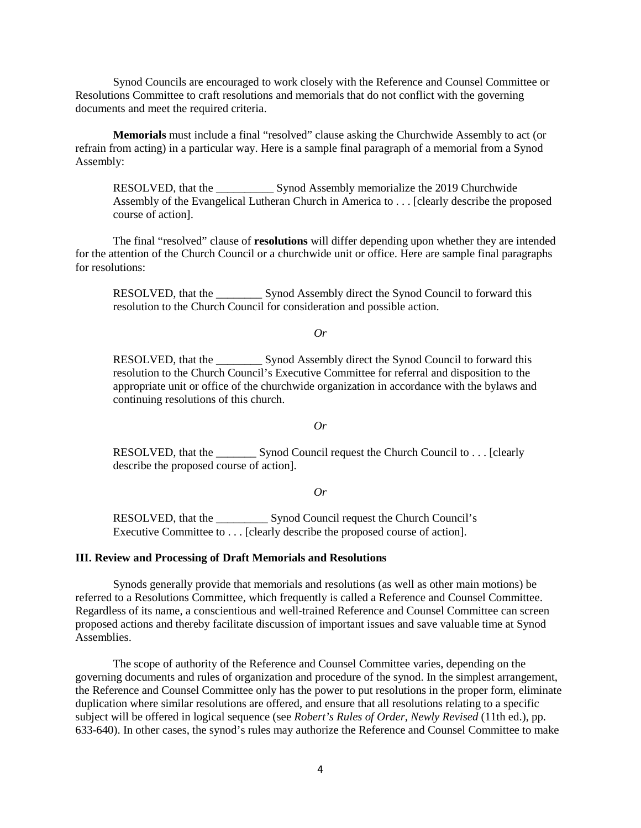Synod Councils are encouraged to work closely with the Reference and Counsel Committee or Resolutions Committee to craft resolutions and memorials that do not conflict with the governing documents and meet the required criteria.

**Memorials** must include a final "resolved" clause asking the Churchwide Assembly to act (or refrain from acting) in a particular way. Here is a sample final paragraph of a memorial from a Synod Assembly:

RESOLVED, that the \_\_\_\_\_\_\_\_\_\_ Synod Assembly memorialize the 2019 Churchwide Assembly of the Evangelical Lutheran Church in America to . . . [clearly describe the proposed course of action].

The final "resolved" clause of **resolutions** will differ depending upon whether they are intended for the attention of the Church Council or a churchwide unit or office. Here are sample final paragraphs for resolutions:

RESOLVED, that the \_\_\_\_\_\_\_\_ Synod Assembly direct the Synod Council to forward this resolution to the Church Council for consideration and possible action.

#### *Or*

RESOLVED, that the \_\_\_\_\_\_\_\_ Synod Assembly direct the Synod Council to forward this resolution to the Church Council's Executive Committee for referral and disposition to the appropriate unit or office of the churchwide organization in accordance with the bylaws and continuing resolutions of this church.

#### *Or*

RESOLVED, that the \_\_\_\_\_\_\_ Synod Council request the Church Council to . . . [clearly describe the proposed course of action].

*Or*

RESOLVED, that the Synod Council request the Church Council's Executive Committee to . . . [clearly describe the proposed course of action].

#### **III. Review and Processing of Draft Memorials and Resolutions**

Synods generally provide that memorials and resolutions (as well as other main motions) be referred to a Resolutions Committee, which frequently is called a Reference and Counsel Committee. Regardless of its name, a conscientious and well-trained Reference and Counsel Committee can screen proposed actions and thereby facilitate discussion of important issues and save valuable time at Synod Assemblies.

The scope of authority of the Reference and Counsel Committee varies, depending on the governing documents and rules of organization and procedure of the synod. In the simplest arrangement, the Reference and Counsel Committee only has the power to put resolutions in the proper form, eliminate duplication where similar resolutions are offered, and ensure that all resolutions relating to a specific subject will be offered in logical sequence (see *Robert's Rules of Order, Newly Revised* (11th ed.), pp. 633-640). In other cases, the synod's rules may authorize the Reference and Counsel Committee to make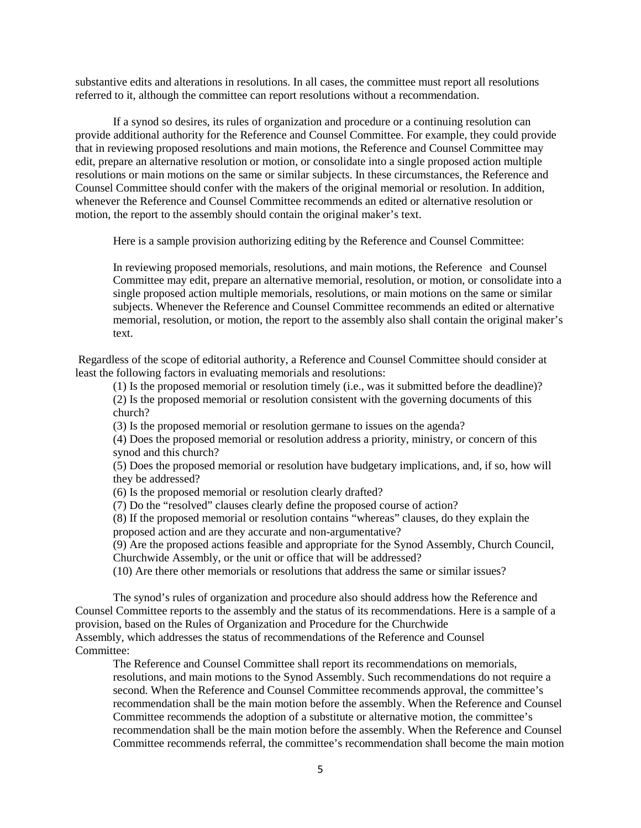substantive edits and alterations in resolutions. In all cases, the committee must report all resolutions referred to it, although the committee can report resolutions without a recommendation.

If a synod so desires, its rules of organization and procedure or a continuing resolution can provide additional authority for the Reference and Counsel Committee. For example, they could provide that in reviewing proposed resolutions and main motions, the Reference and Counsel Committee may edit, prepare an alternative resolution or motion, or consolidate into a single proposed action multiple resolutions or main motions on the same or similar subjects. In these circumstances, the Reference and Counsel Committee should confer with the makers of the original memorial or resolution. In addition, whenever the Reference and Counsel Committee recommends an edited or alternative resolution or motion, the report to the assembly should contain the original maker's text.

Here is a sample provision authorizing editing by the Reference and Counsel Committee:

In reviewing proposed memorials, resolutions, and main motions, the Reference and Counsel Committee may edit, prepare an alternative memorial, resolution, or motion, or consolidate into a single proposed action multiple memorials, resolutions, or main motions on the same or similar subjects. Whenever the Reference and Counsel Committee recommends an edited or alternative memorial, resolution, or motion, the report to the assembly also shall contain the original maker's text.

Regardless of the scope of editorial authority, a Reference and Counsel Committee should consider at least the following factors in evaluating memorials and resolutions:

(1) Is the proposed memorial or resolution timely (i.e., was it submitted before the deadline)? (2) Is the proposed memorial or resolution consistent with the governing documents of this church?

(3) Is the proposed memorial or resolution germane to issues on the agenda?

(4) Does the proposed memorial or resolution address a priority, ministry, or concern of this synod and this church?

(5) Does the proposed memorial or resolution have budgetary implications, and, if so, how will they be addressed?

(6) Is the proposed memorial or resolution clearly drafted?

(7) Do the "resolved" clauses clearly define the proposed course of action?

(8) If the proposed memorial or resolution contains "whereas" clauses, do they explain the proposed action and are they accurate and non-argumentative?

(9) Are the proposed actions feasible and appropriate for the Synod Assembly, Church Council, Churchwide Assembly, or the unit or office that will be addressed?

(10) Are there other memorials or resolutions that address the same or similar issues?

The synod's rules of organization and procedure also should address how the Reference and Counsel Committee reports to the assembly and the status of its recommendations. Here is a sample of a provision, based on the Rules of Organization and Procedure for the Churchwide Assembly, which addresses the status of recommendations of the Reference and Counsel Committee:

The Reference and Counsel Committee shall report its recommendations on memorials, resolutions, and main motions to the Synod Assembly. Such recommendations do not require a second. When the Reference and Counsel Committee recommends approval, the committee's recommendation shall be the main motion before the assembly. When the Reference and Counsel Committee recommends the adoption of a substitute or alternative motion, the committee's recommendation shall be the main motion before the assembly. When the Reference and Counsel Committee recommends referral, the committee's recommendation shall become the main motion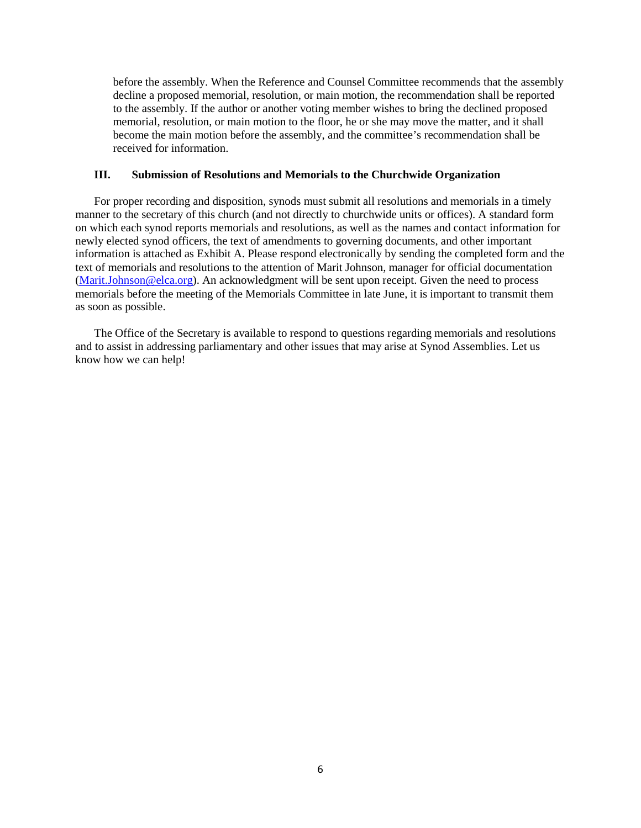before the assembly. When the Reference and Counsel Committee recommends that the assembly decline a proposed memorial, resolution, or main motion, the recommendation shall be reported to the assembly. If the author or another voting member wishes to bring the declined proposed memorial, resolution, or main motion to the floor, he or she may move the matter, and it shall become the main motion before the assembly, and the committee's recommendation shall be received for information.

#### **III. Submission of Resolutions and Memorials to the Churchwide Organization**

For proper recording and disposition, synods must submit all resolutions and memorials in a timely manner to the secretary of this church (and not directly to churchwide units or offices). A standard form on which each synod reports memorials and resolutions, as well as the names and contact information for newly elected synod officers, the text of amendments to governing documents, and other important information is attached as Exhibit A. Please respond electronically by sending the completed form and the text of memorials and resolutions to the attention of Marit Johnson, manager for official documentation [\(Marit.Johnson@elca.org\)](mailto:Marit.Johnson@elca.org). An acknowledgment will be sent upon receipt. Given the need to process memorials before the meeting of the Memorials Committee in late June, it is important to transmit them as soon as possible.

The Office of the Secretary is available to respond to questions regarding memorials and resolutions and to assist in addressing parliamentary and other issues that may arise at Synod Assemblies. Let us know how we can help!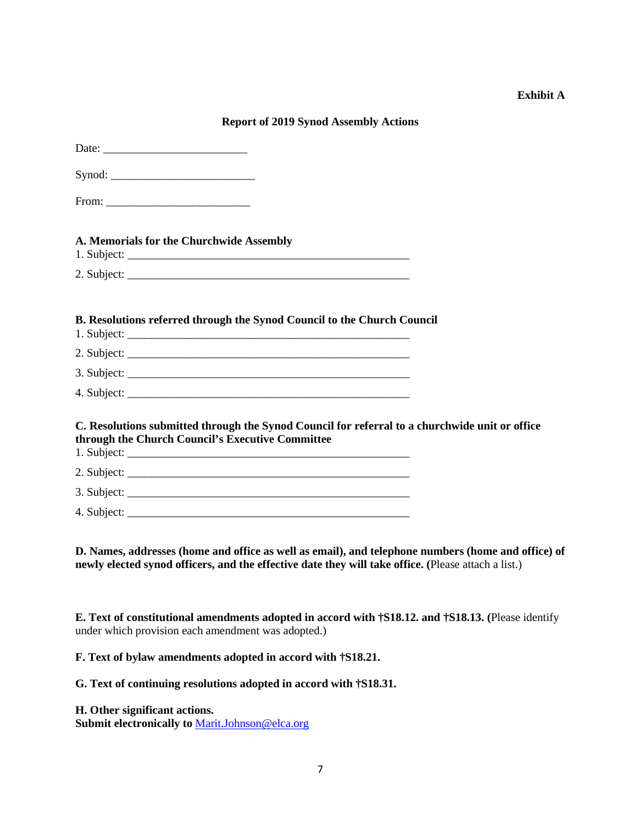#### **Exhibit A**

#### **Report of 2019 Synod Assembly Actions**

| A. Memorials for the Churchwide Assembly                                                                                                           |  |
|----------------------------------------------------------------------------------------------------------------------------------------------------|--|
|                                                                                                                                                    |  |
| B. Resolutions referred through the Synod Council to the Church Council                                                                            |  |
|                                                                                                                                                    |  |
|                                                                                                                                                    |  |
|                                                                                                                                                    |  |
| C. Resolutions submitted through the Synod Council for referral to a churchwide unit or office<br>through the Church Council's Executive Committee |  |
|                                                                                                                                                    |  |
|                                                                                                                                                    |  |
|                                                                                                                                                    |  |

**D. Names, addresses (home and office as well as email), and telephone numbers (home and office) of newly elected synod officers, and the effective date they will take office. (**Please attach a list.)

**E. Text of constitutional amendments adopted in accord with †S18.12. and †S18.13. (**Please identify under which provision each amendment was adopted.)

**F. Text of bylaw amendments adopted in accord with †S18.21.**

**G. Text of continuing resolutions adopted in accord with †S18.31.**

**H. Other significant actions.**

Submit electronically to **Marit.Johnson@elca.org**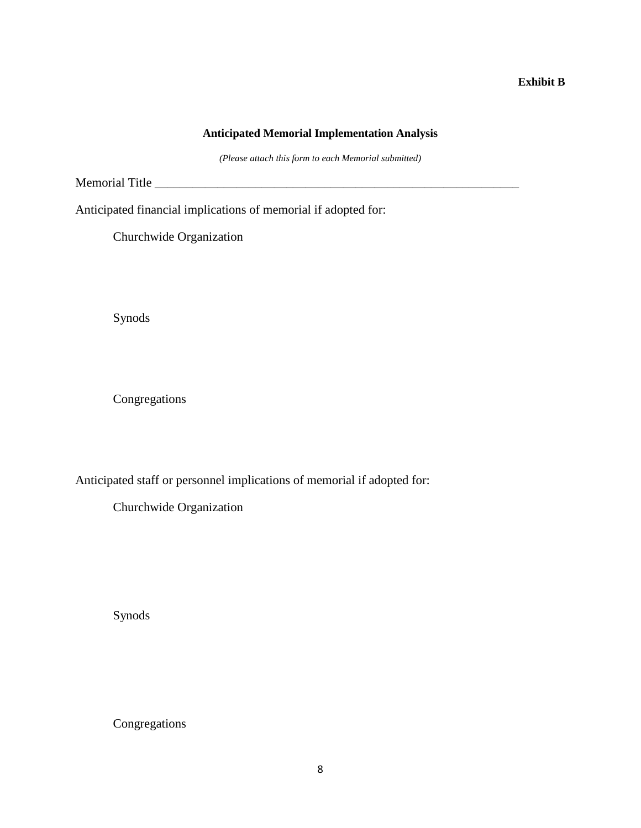#### **Exhibit B**

### **Anticipated Memorial Implementation Analysis**

*(Please attach this form to each Memorial submitted)*

Memorial Title \_\_\_\_\_\_\_\_\_\_\_\_\_\_\_\_\_\_\_\_\_\_\_\_\_\_\_\_\_\_\_\_\_\_\_\_\_\_\_\_\_\_\_\_\_\_\_\_\_\_\_\_\_\_\_\_\_\_

Anticipated financial implications of memorial if adopted for:

Churchwide Organization

Synods

Congregations

Anticipated staff or personnel implications of memorial if adopted for:

Churchwide Organization

Synods

Congregations